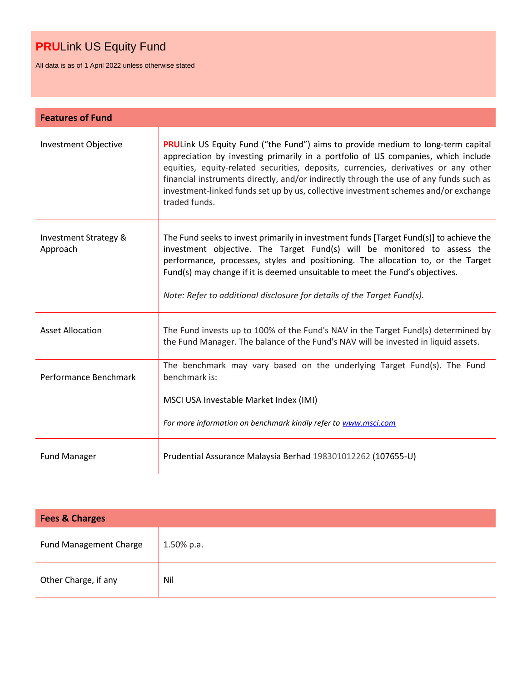All data is as of 1 April 2022 unless otherwise stated

| <b>Features of Fund</b>           |                                                                                                                                                                                                                                                                                                                                                                                                                                                                      |
|-----------------------------------|----------------------------------------------------------------------------------------------------------------------------------------------------------------------------------------------------------------------------------------------------------------------------------------------------------------------------------------------------------------------------------------------------------------------------------------------------------------------|
| Investment Objective              | <b>PRULink US Equity Fund ("the Fund") aims to provide medium to long-term capital</b><br>appreciation by investing primarily in a portfolio of US companies, which include<br>equities, equity-related securities, deposits, currencies, derivatives or any other<br>financial instruments directly, and/or indirectly through the use of any funds such as<br>investment-linked funds set up by us, collective investment schemes and/or exchange<br>traded funds. |
| Investment Strategy &<br>Approach | The Fund seeks to invest primarily in investment funds [Target Fund(s)] to achieve the<br>investment objective. The Target Fund(s) will be monitored to assess the<br>performance, processes, styles and positioning. The allocation to, or the Target<br>Fund(s) may change if it is deemed unsuitable to meet the Fund's objectives.<br>Note: Refer to additional disclosure for details of the Target Fund(s).                                                    |
| <b>Asset Allocation</b>           | The Fund invests up to 100% of the Fund's NAV in the Target Fund(s) determined by<br>the Fund Manager. The balance of the Fund's NAV will be invested in liquid assets.                                                                                                                                                                                                                                                                                              |
| Performance Benchmark             | The benchmark may vary based on the underlying Target Fund(s). The Fund<br>benchmark is:<br>MSCI USA Investable Market Index (IMI)<br>For more information on benchmark kindly refer to www.msci.com                                                                                                                                                                                                                                                                 |
| <b>Fund Manager</b>               | Prudential Assurance Malaysia Berhad 198301012262 (107655-U)                                                                                                                                                                                                                                                                                                                                                                                                         |

| <b>Fees &amp; Charges</b>     |               |  |  |  |
|-------------------------------|---------------|--|--|--|
| <b>Fund Management Charge</b> | $1.50\%$ p.a. |  |  |  |
| Other Charge, if any          | Nil           |  |  |  |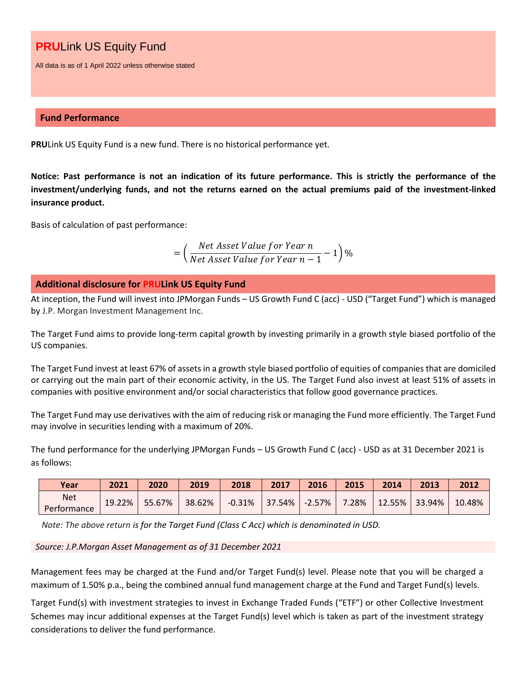All data is as of 1 April 2022 unless otherwise stated

## **Fund Performance**

**PRU**Link US Equity Fund is a new fund. There is no historical performance yet.

**Notice: Past performance is not an indication of its future performance. This is strictly the performance of the investment/underlying funds, and not the returns earned on the actual premiums paid of the investment-linked insurance product.**

Basis of calculation of past performance:

= ( Net Asset Value for Year n  $\frac{1}{\sqrt{1-\frac{1}{n}}}$  1)%<br>Net Asset Value for Year  $n-1$ 

## **Additional disclosure for PRULink US Equity Fund**

At inception, the Fund will invest into JPMorgan Funds – US Growth Fund C (acc) - USD ("Target Fund") which is managed by J.P. Morgan Investment Management Inc.

The Target Fund aims to provide long-term capital growth by investing primarily in a growth style biased portfolio of the US companies.

The Target Fund invest at least 67% of assets in a growth style biased portfolio of equities of companies that are domiciled or carrying out the main part of their economic activity, in the US. The Target Fund also invest at least 51% of assets in companies with positive environment and/or social characteristics that follow good governance practices.

The Target Fund may use derivatives with the aim of reducing risk or managing the Fund more efficiently. The Target Fund may involve in securities lending with a maximum of 20%.

The fund performance for the underlying JPMorgan Funds – US Growth Fund C (acc) - USD as at 31 December 2021 is as follows:

| Year                      | 2021   | 2020   | 2019   | 2018          | 2017 | 2016      | 2015 | 2014 | 2013                       | 2012   |
|---------------------------|--------|--------|--------|---------------|------|-----------|------|------|----------------------------|--------|
| <b>Net</b><br>Performance | 19.22% | 55.67% | 38.62% | -0.31% 37.54% |      | $-2.57\%$ |      |      | $7.28\%$   12.55%   33.94% | 10.48% |

*Note: The above return is for the Target Fund (Class C Acc) which is denominated in USD.*

#### *Source: J.P.Morgan Asset Management as of 31 December 2021*

Management fees may be charged at the Fund and/or Target Fund(s) level. Please note that you will be charged a maximum of 1.50% p.a., being the combined annual fund management charge at the Fund and Target Fund(s) levels.

Target Fund(s) with investment strategies to invest in Exchange Traded Funds ("ETF") or other Collective Investment Schemes may incur additional expenses at the Target Fund(s) level which is taken as part of the investment strategy considerations to deliver the fund performance.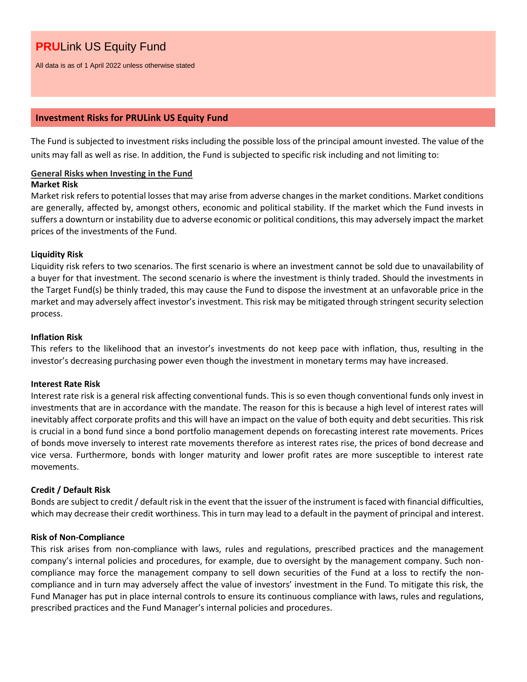All data is as of 1 April 2022 unless otherwise stated

### **Investment Risks for PRULink US Equity Fund**

The Fund is subjected to investment risks including the possible loss of the principal amount invested. The value of the units may fall as well as rise. In addition, the Fund is subjected to specific risk including and not limiting to:

## **General Risks when Investing in the Fund**

#### **Market Risk**

Market risk refers to potential losses that may arise from adverse changes in the market conditions. Market conditions are generally, affected by, amongst others, economic and political stability. If the market which the Fund invests in suffers a downturn or instability due to adverse economic or political conditions, this may adversely impact the market prices of the investments of the Fund.

### **Liquidity Risk**

Liquidity risk refers to two scenarios. The first scenario is where an investment cannot be sold due to unavailability of a buyer for that investment. The second scenario is where the investment is thinly traded. Should the investments in the Target Fund(s) be thinly traded, this may cause the Fund to dispose the investment at an unfavorable price in the market and may adversely affect investor's investment. This risk may be mitigated through stringent security selection process.

### **Inflation Risk**

This refers to the likelihood that an investor's investments do not keep pace with inflation, thus, resulting in the investor's decreasing purchasing power even though the investment in monetary terms may have increased.

#### **Interest Rate Risk**

Interest rate risk is a general risk affecting conventional funds. This is so even though conventional funds only invest in investments that are in accordance with the mandate. The reason for this is because a high level of interest rates will inevitably affect corporate profits and this will have an impact on the value of both equity and debt securities. This risk is crucial in a bond fund since a bond portfolio management depends on forecasting interest rate movements. Prices of bonds move inversely to interest rate movements therefore as interest rates rise, the prices of bond decrease and vice versa. Furthermore, bonds with longer maturity and lower profit rates are more susceptible to interest rate movements.

## **Credit / Default Risk**

Bonds are subject to credit / default risk in the event that the issuer of the instrument is faced with financial difficulties, which may decrease their credit worthiness. This in turn may lead to a default in the payment of principal and interest.

#### **Risk of Non-Compliance**

This risk arises from non-compliance with laws, rules and regulations, prescribed practices and the management company's internal policies and procedures, for example, due to oversight by the management company. Such noncompliance may force the management company to sell down securities of the Fund at a loss to rectify the noncompliance and in turn may adversely affect the value of investors' investment in the Fund. To mitigate this risk, the Fund Manager has put in place internal controls to ensure its continuous compliance with laws, rules and regulations, prescribed practices and the Fund Manager's internal policies and procedures.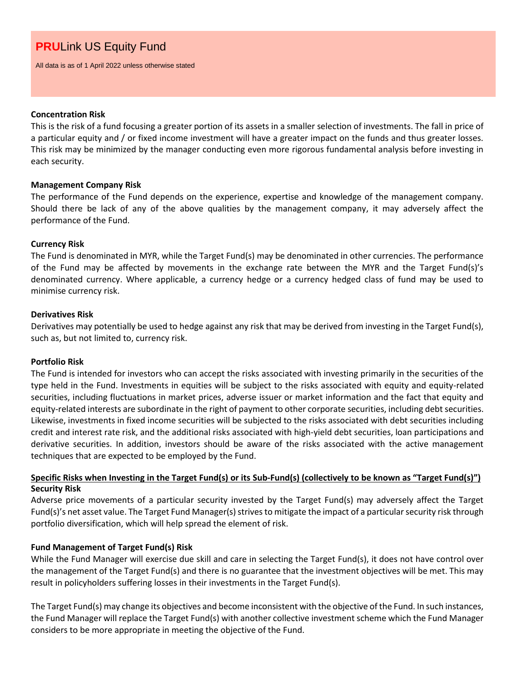All data is as of 1 April 2022 unless otherwise stated

#### **Concentration Risk**

This is the risk of a fund focusing a greater portion of its assets in a smaller selection of investments. The fall in price of a particular equity and / or fixed income investment will have a greater impact on the funds and thus greater losses. This risk may be minimized by the manager conducting even more rigorous fundamental analysis before investing in each security.

## **Management Company Risk**

The performance of the Fund depends on the experience, expertise and knowledge of the management company. Should there be lack of any of the above qualities by the management company, it may adversely affect the performance of the Fund.

### **Currency Risk**

The Fund is denominated in MYR, while the Target Fund(s) may be denominated in other currencies. The performance of the Fund may be affected by movements in the exchange rate between the MYR and the Target Fund(s)'s denominated currency. Where applicable, a currency hedge or a currency hedged class of fund may be used to minimise currency risk.

### **Derivatives Risk**

Derivatives may potentially be used to hedge against any risk that may be derived from investing in the Target Fund(s), such as, but not limited to, currency risk.

## **Portfolio Risk**

The Fund is intended for investors who can accept the risks associated with investing primarily in the securities of the type held in the Fund. Investments in equities will be subject to the risks associated with equity and equity-related securities, including fluctuations in market prices, adverse issuer or market information and the fact that equity and equity-related interests are subordinate in the right of payment to other corporate securities, including debt securities. Likewise, investments in fixed income securities will be subjected to the risks associated with debt securities including credit and interest rate risk, and the additional risks associated with high-yield debt securities, loan participations and derivative securities. In addition, investors should be aware of the risks associated with the active management techniques that are expected to be employed by the Fund.

## **Specific Risks when Investing in the Target Fund(s) or its Sub-Fund(s) (collectively to be known as "Target Fund(s)") Security Risk**

Adverse price movements of a particular security invested by the Target Fund(s) may adversely affect the Target Fund(s)'s net asset value. The Target Fund Manager(s) strives to mitigate the impact of a particular security risk through portfolio diversification, which will help spread the element of risk.

## **Fund Management of Target Fund(s) Risk**

While the Fund Manager will exercise due skill and care in selecting the Target Fund(s), it does not have control over the management of the Target Fund(s) and there is no guarantee that the investment objectives will be met. This may result in policyholders suffering losses in their investments in the Target Fund(s).

The Target Fund(s) may change its objectives and become inconsistent with the objective of the Fund. In such instances, the Fund Manager will replace the Target Fund(s) with another collective investment scheme which the Fund Manager considers to be more appropriate in meeting the objective of the Fund.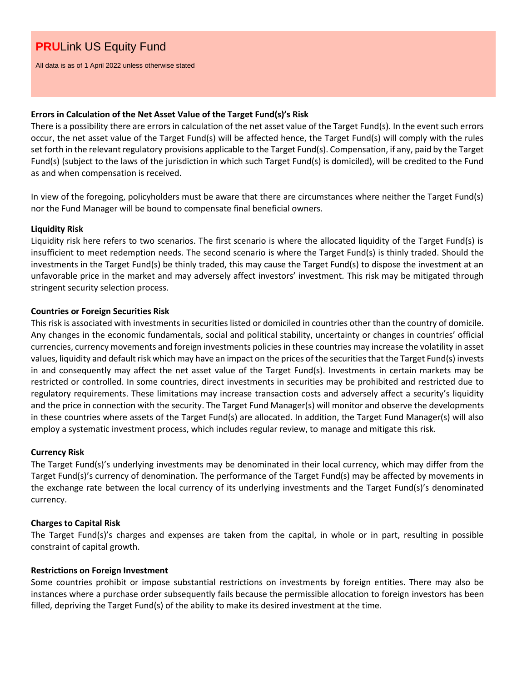All data is as of 1 April 2022 unless otherwise stated

## **Errors in Calculation of the Net Asset Value of the Target Fund(s)'s Risk**

There is a possibility there are errors in calculation of the net asset value of the Target Fund(s). In the event such errors occur, the net asset value of the Target Fund(s) will be affected hence, the Target Fund(s) will comply with the rules set forth in the relevant regulatory provisions applicable to the Target Fund(s). Compensation, if any, paid by the Target Fund(s) (subject to the laws of the jurisdiction in which such Target Fund(s) is domiciled), will be credited to the Fund as and when compensation is received.

In view of the foregoing, policyholders must be aware that there are circumstances where neither the Target Fund(s) nor the Fund Manager will be bound to compensate final beneficial owners.

### **Liquidity Risk**

Liquidity risk here refers to two scenarios. The first scenario is where the allocated liquidity of the Target Fund(s) is insufficient to meet redemption needs. The second scenario is where the Target Fund(s) is thinly traded. Should the investments in the Target Fund(s) be thinly traded, this may cause the Target Fund(s) to dispose the investment at an unfavorable price in the market and may adversely affect investors' investment. This risk may be mitigated through stringent security selection process.

### **Countries or Foreign Securities Risk**

This risk is associated with investments in securities listed or domiciled in countries other than the country of domicile. Any changes in the economic fundamentals, social and political stability, uncertainty or changes in countries' official currencies, currency movements and foreign investments policies in these countries may increase the volatility in asset values, liquidity and default risk which may have an impact on the prices of the securities that the Target Fund(s) invests in and consequently may affect the net asset value of the Target Fund(s). Investments in certain markets may be restricted or controlled. In some countries, direct investments in securities may be prohibited and restricted due to regulatory requirements. These limitations may increase transaction costs and adversely affect a security's liquidity and the price in connection with the security. The Target Fund Manager(s) will monitor and observe the developments in these countries where assets of the Target Fund(s) are allocated. In addition, the Target Fund Manager(s) will also employ a systematic investment process, which includes regular review, to manage and mitigate this risk.

## **Currency Risk**

The Target Fund(s)'s underlying investments may be denominated in their local currency, which may differ from the Target Fund(s)'s currency of denomination. The performance of the Target Fund(s) may be affected by movements in the exchange rate between the local currency of its underlying investments and the Target Fund(s)'s denominated currency.

#### **Charges to Capital Risk**

The Target Fund(s)'s charges and expenses are taken from the capital, in whole or in part, resulting in possible constraint of capital growth.

#### **Restrictions on Foreign Investment**

Some countries prohibit or impose substantial restrictions on investments by foreign entities. There may also be instances where a purchase order subsequently fails because the permissible allocation to foreign investors has been filled, depriving the Target Fund(s) of the ability to make its desired investment at the time.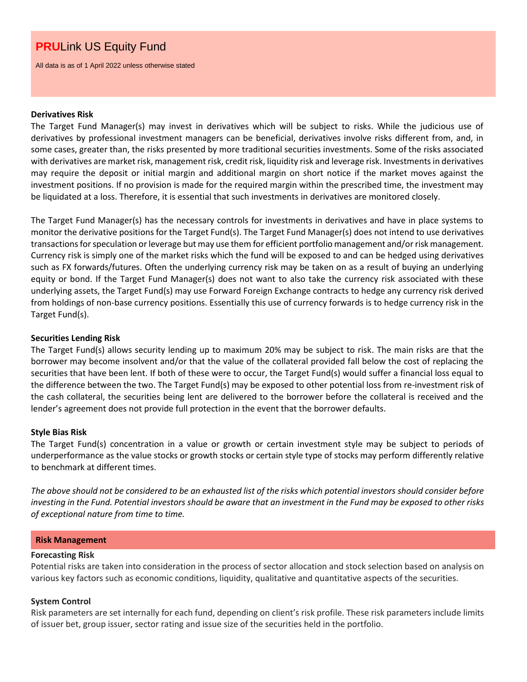All data is as of 1 April 2022 unless otherwise stated

#### **Derivatives Risk**

The Target Fund Manager(s) may invest in derivatives which will be subject to risks. While the judicious use of derivatives by professional investment managers can be beneficial, derivatives involve risks different from, and, in some cases, greater than, the risks presented by more traditional securities investments. Some of the risks associated with derivatives are market risk, management risk, credit risk, liquidity risk and leverage risk. Investments in derivatives may require the deposit or initial margin and additional margin on short notice if the market moves against the investment positions. If no provision is made for the required margin within the prescribed time, the investment may be liquidated at a loss. Therefore, it is essential that such investments in derivatives are monitored closely.

The Target Fund Manager(s) has the necessary controls for investments in derivatives and have in place systems to monitor the derivative positions for the Target Fund(s). The Target Fund Manager(s) does not intend to use derivatives transactions for speculation or leverage but may use them for efficient portfolio management and/or risk management. Currency risk is simply one of the market risks which the fund will be exposed to and can be hedged using derivatives such as FX forwards/futures. Often the underlying currency risk may be taken on as a result of buying an underlying equity or bond. If the Target Fund Manager(s) does not want to also take the currency risk associated with these underlying assets, the Target Fund(s) may use Forward Foreign Exchange contracts to hedge any currency risk derived from holdings of non-base currency positions. Essentially this use of currency forwards is to hedge currency risk in the Target Fund(s).

## **Securities Lending Risk**

The Target Fund(s) allows security lending up to maximum 20% may be subject to risk. The main risks are that the borrower may become insolvent and/or that the value of the collateral provided fall below the cost of replacing the securities that have been lent. If both of these were to occur, the Target Fund(s) would suffer a financial loss equal to the difference between the two. The Target Fund(s) may be exposed to other potential loss from re-investment risk of the cash collateral, the securities being lent are delivered to the borrower before the collateral is received and the lender's agreement does not provide full protection in the event that the borrower defaults.

## **Style Bias Risk**

The Target Fund(s) concentration in a value or growth or certain investment style may be subject to periods of underperformance as the value stocks or growth stocks or certain style type of stocks may perform differently relative to benchmark at different times.

*The above should not be considered to be an exhausted list of the risks which potential investors should consider before investing in the Fund. Potential investors should be aware that an investment in the Fund may be exposed to other risks of exceptional nature from time to time.*

#### **Risk Management**

#### **Forecasting Risk**

Potential risks are taken into consideration in the process of sector allocation and stock selection based on analysis on various key factors such as economic conditions, liquidity, qualitative and quantitative aspects of the securities.

## **System Control**

Risk parameters are set internally for each fund, depending on client's risk profile. These risk parameters include limits of issuer bet, group issuer, sector rating and issue size of the securities held in the portfolio.